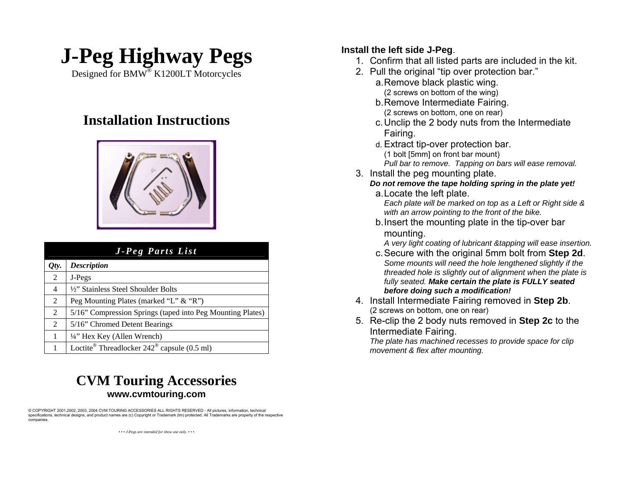

Designed for  $\overline{\text{BMW}^{\otimes}}$  K1200LT Motorcycles

## (2 screws on bottom, one on rear) **Installation Instructions**



| <b>J</b> -Peg Parts List |                                                                  | A very light coating of lubricant & tapping will ease insertion.<br>c. Secure with the original 5mm bolt from Step 2d.                                                                                                                                                                                                                                                                                                                                                                                     |
|--------------------------|------------------------------------------------------------------|------------------------------------------------------------------------------------------------------------------------------------------------------------------------------------------------------------------------------------------------------------------------------------------------------------------------------------------------------------------------------------------------------------------------------------------------------------------------------------------------------------|
| Qty.                     | <b>Description</b>                                               | Some mounts will need the hole lengthened slightly if the<br>threaded hole is slightly out of alignment when the plate is<br>fully seated. Make certain the plate is FULLY seated<br>before doing such a modification!<br>4. Install Intermediate Fairing removed in Step 2b.<br>(2 screws on bottom, one on rear)<br>5. Re-clip the 2 body nuts removed in <b>Step 2c</b> to the<br>Intermediate Fairing.<br>The plate has machined recesses to provide space for clip<br>movement & flex after mounting. |
|                          | J-Pegs                                                           |                                                                                                                                                                                                                                                                                                                                                                                                                                                                                                            |
|                          | 1/2" Stainless Steel Shoulder Bolts                              |                                                                                                                                                                                                                                                                                                                                                                                                                                                                                                            |
|                          | Peg Mounting Plates (marked "L" & "R")                           |                                                                                                                                                                                                                                                                                                                                                                                                                                                                                                            |
|                          | 5/16" Compression Springs (taped into Peg Mounting Plates)       |                                                                                                                                                                                                                                                                                                                                                                                                                                                                                                            |
|                          | 5/16" Chromed Detent Bearings                                    |                                                                                                                                                                                                                                                                                                                                                                                                                                                                                                            |
|                          | $\frac{1}{4}$ " Hex Key (Allen Wrench)                           |                                                                                                                                                                                                                                                                                                                                                                                                                                                                                                            |
|                          | Loctite <sup>®</sup> Threadlocker $242^{\circ}$ capsule (0.5 ml) |                                                                                                                                                                                                                                                                                                                                                                                                                                                                                                            |

## **CVM Touring Accessories www.cvmtouring.com**

© COPYRIGHT 2001,2002, 2003, 2004 CVM TOURING ACCESSORIES ALL RIGHTS RESERVED - All pictures, information, technical specifications, technical designs, and product names are (c) Copyright or Trademark (tm) protected. All Trademarks are property of the respective companies.

*• • • J-Pegs are intended for show use only. • • •* 

- 
- - a. Remove black plastic wing. (2 screws on bottom of the wing)
	- b. Remove Intermediate Fairing.
	- c. Unclip the 2 body nuts from the Intermediate Fairing.
	- d. Extract tip-over protection bar. (1 bolt [5mm] on front bar mount) *Pull bar to remove. Tapping on bars will ease removal.*
- 3. Install the peg mounting plate.
	- *Do not remove the tape holding spring in the plate yet!*
	- a. Locate the left plate.

*Each plate will be marked on top as a Left or Right side & with an arrow pointing to the front of the bike.*

b. Insert the mounting plate in the tip-over bar

mounting.<br>A very light coating of lubricant & tapping will ease insertion.

- *Some mounts will need the hole lengthened slightly if the threaded hole is slightly out of alignment when the plate is fully seated. Make certain the plate is FULLY seated before doing such a modification!*
- 4. Install Intermediate Fairing removed in **Step 2b**. (2 screws on bottom, one on rear)
- 5. Re-clip the 2 body nuts removed in **Step 2c** to the Intermediate Fairing.

*The plate has machined recesses to provide space for clip movement & flex after mounting.*